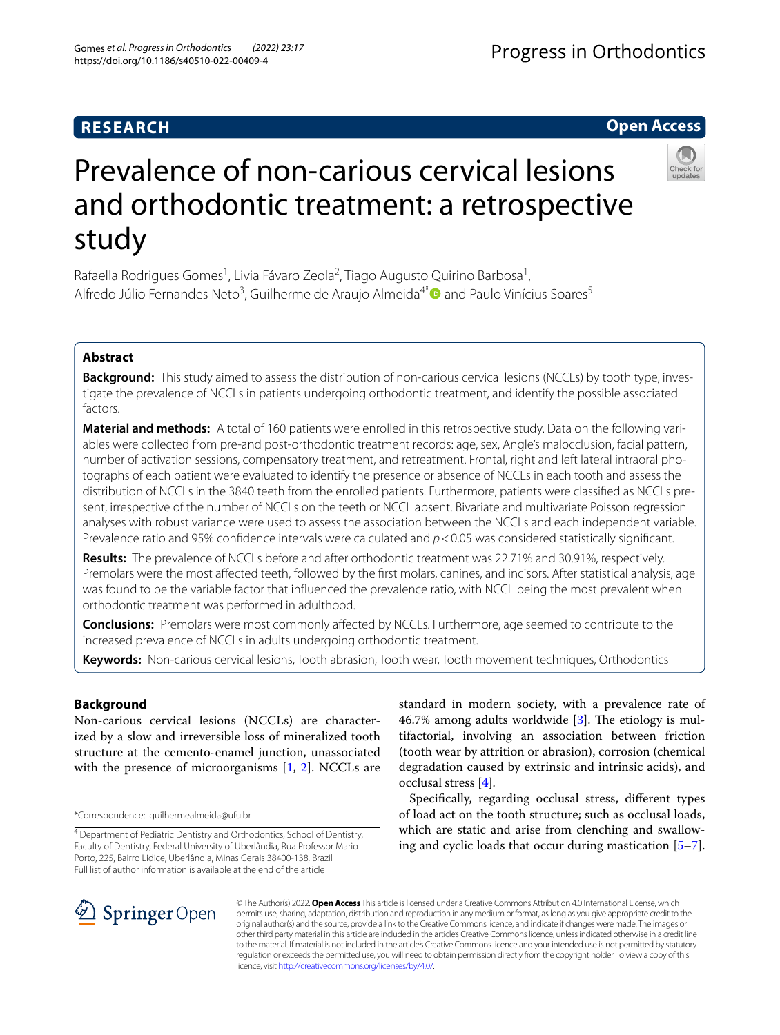# **RESEARCH**

# Prevalence of non-carious cervical lesions and orthodontic treatment: a retrospective study

Rafaella Rodrigues Gomes<sup>1</sup>, Livia Fávaro Zeola<sup>2</sup>, Tiago Augusto Quirino Barbosa<sup>1</sup>, Alfredo Júlio Fernandes Neto<sup>3</sup>, Guilherme de Araujo Almeida<sup>4\*</sup> and Paulo Vinícius Soares<sup>5</sup>

# **Abstract**

**Background:** This study aimed to assess the distribution of non-carious cervical lesions (NCCLs) by tooth type, investigate the prevalence of NCCLs in patients undergoing orthodontic treatment, and identify the possible associated factors.

**Material and methods:** A total of 160 patients were enrolled in this retrospective study. Data on the following variables were collected from pre-and post-orthodontic treatment records: age, sex, Angle's malocclusion, facial pattern, number of activation sessions, compensatory treatment, and retreatment. Frontal, right and left lateral intraoral photographs of each patient were evaluated to identify the presence or absence of NCCLs in each tooth and assess the distribution of NCCLs in the 3840 teeth from the enrolled patients. Furthermore, patients were classifed as NCCLs present, irrespective of the number of NCCLs on the teeth or NCCL absent. Bivariate and multivariate Poisson regression analyses with robust variance were used to assess the association between the NCCLs and each independent variable. Prevalence ratio and 95% confidence intervals were calculated and  $p < 0.05$  was considered statistically significant.

**Results:** The prevalence of NCCLs before and after orthodontic treatment was 22.71% and 30.91%, respectively. Premolars were the most afected teeth, followed by the frst molars, canines, and incisors. After statistical analysis, age was found to be the variable factor that infuenced the prevalence ratio, with NCCL being the most prevalent when orthodontic treatment was performed in adulthood.

**Conclusions:** Premolars were most commonly afected by NCCLs. Furthermore, age seemed to contribute to the increased prevalence of NCCLs in adults undergoing orthodontic treatment.

**Keywords:** Non-carious cervical lesions, Tooth abrasion, Tooth wear, Tooth movement techniques, Orthodontics

# **Background**

Non-carious cervical lesions (NCCLs) are characterized by a slow and irreversible loss of mineralized tooth structure at the cemento-enamel junction, unassociated with the presence of microorganisms  $[1, 2]$  $[1, 2]$  $[1, 2]$ . NCCLs are

\*Correspondence: guilhermealmeida@ufu.br

standard in modern society, with a prevalence rate of 46.7% among adults worldwide  $[3]$  $[3]$ . The etiology is multifactorial, involving an association between friction (tooth wear by attrition or abrasion), corrosion (chemical degradation caused by extrinsic and intrinsic acids), and occlusal stress [\[4](#page-5-3)].

Specifcally, regarding occlusal stress, diferent types of load act on the tooth structure; such as occlusal loads, which are static and arise from clenching and swallowing and cyclic loads that occur during mastication [\[5](#page-5-4)[–7](#page-5-5)].

SpringerOpen

© The Author(s) 2022. **Open Access** This article is licensed under a Creative Commons Attribution 4.0 International License, which permits use, sharing, adaptation, distribution and reproduction in any medium or format, as long as you give appropriate credit to the original author(s) and the source, provide a link to the Creative Commons licence, and indicate if changes were made. The images or other third party material in this article are included in the article's Creative Commons licence, unless indicated otherwise in a credit line to the material. If material is not included in the article's Creative Commons licence and your intended use is not permitted by statutory regulation or exceeds the permitted use, you will need to obtain permission directly from the copyright holder. To view a copy of this licence, visit [http://creativecommons.org/licenses/by/4.0/.](http://creativecommons.org/licenses/by/4.0/)





<sup>&</sup>lt;sup>4</sup> Department of Pediatric Dentistry and Orthodontics, School of Dentistry, Faculty of Dentistry, Federal University of Uberlândia, Rua Professor Mario Porto, 225, Bairro Lidice, Uberlândia, Minas Gerais 38400-138, Brazil Full list of author information is available at the end of the article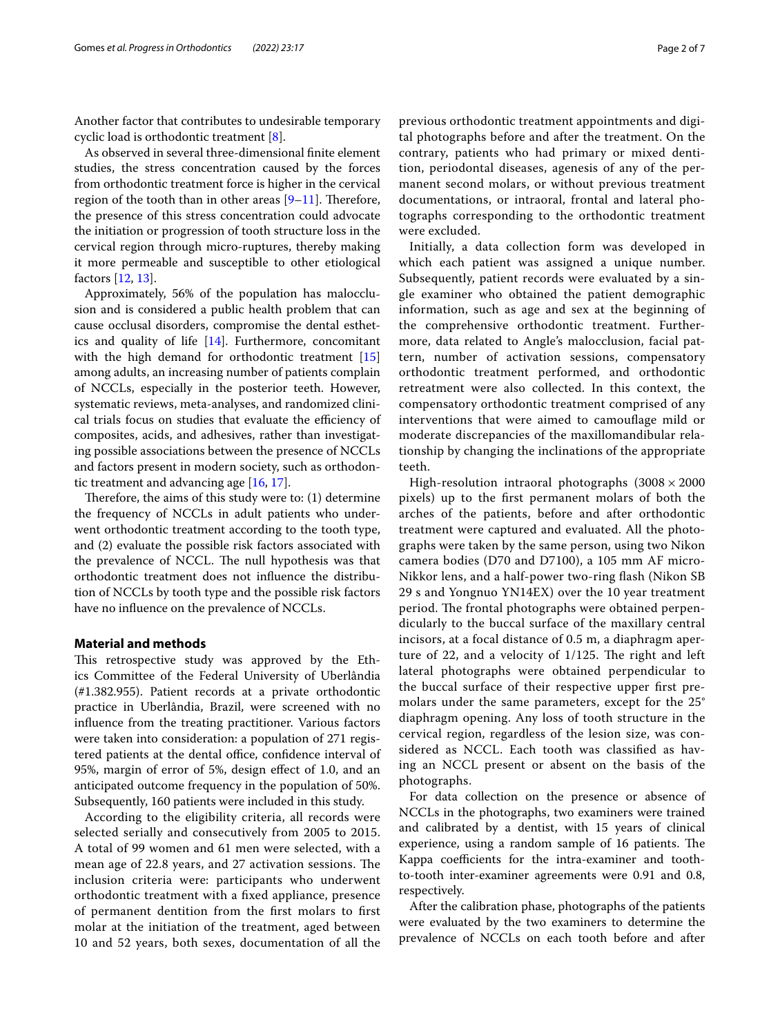Another factor that contributes to undesirable temporary cyclic load is orthodontic treatment [[8\]](#page-5-6).

As observed in several three-dimensional fnite element studies, the stress concentration caused by the forces from orthodontic treatment force is higher in the cervical region of the tooth than in other areas  $[9-11]$  $[9-11]$ . Therefore, the presence of this stress concentration could advocate the initiation or progression of tooth structure loss in the cervical region through micro-ruptures, thereby making it more permeable and susceptible to other etiological factors [\[12,](#page-5-9) [13](#page-5-10)].

Approximately, 56% of the population has malocclusion and is considered a public health problem that can cause occlusal disorders, compromise the dental esthetics and quality of life [\[14\]](#page-5-11). Furthermore, concomitant with the high demand for orthodontic treatment [[15](#page-5-12)] among adults, an increasing number of patients complain of NCCLs, especially in the posterior teeth. However, systematic reviews, meta-analyses, and randomized clinical trials focus on studies that evaluate the efficiency of composites, acids, and adhesives, rather than investigating possible associations between the presence of NCCLs and factors present in modern society, such as orthodontic treatment and advancing age [[16](#page-5-13), [17\]](#page-5-14).

Therefore, the aims of this study were to:  $(1)$  determine the frequency of NCCLs in adult patients who underwent orthodontic treatment according to the tooth type, and (2) evaluate the possible risk factors associated with the prevalence of NCCL. The null hypothesis was that orthodontic treatment does not infuence the distribution of NCCLs by tooth type and the possible risk factors have no infuence on the prevalence of NCCLs.

## **Material and methods**

This retrospective study was approved by the Ethics Committee of the Federal University of Uberlândia (#1.382.955). Patient records at a private orthodontic practice in Uberlândia, Brazil, were screened with no infuence from the treating practitioner. Various factors were taken into consideration: a population of 271 registered patients at the dental office, confidence interval of 95%, margin of error of 5%, design efect of 1.0, and an anticipated outcome frequency in the population of 50%. Subsequently, 160 patients were included in this study.

According to the eligibility criteria, all records were selected serially and consecutively from 2005 to 2015. A total of 99 women and 61 men were selected, with a mean age of 22.8 years, and 27 activation sessions. The inclusion criteria were: participants who underwent orthodontic treatment with a fxed appliance, presence of permanent dentition from the frst molars to frst molar at the initiation of the treatment, aged between 10 and 52 years, both sexes, documentation of all the previous orthodontic treatment appointments and digital photographs before and after the treatment. On the contrary, patients who had primary or mixed dentition, periodontal diseases, agenesis of any of the permanent second molars, or without previous treatment documentations, or intraoral, frontal and lateral photographs corresponding to the orthodontic treatment were excluded.

Initially, a data collection form was developed in which each patient was assigned a unique number. Subsequently, patient records were evaluated by a single examiner who obtained the patient demographic information, such as age and sex at the beginning of the comprehensive orthodontic treatment. Furthermore, data related to Angle's malocclusion, facial pattern, number of activation sessions, compensatory orthodontic treatment performed, and orthodontic retreatment were also collected. In this context, the compensatory orthodontic treatment comprised of any interventions that were aimed to camoufage mild or moderate discrepancies of the maxillomandibular relationship by changing the inclinations of the appropriate teeth.

High-resolution intraoral photographs  $(3008 \times 2000)$ pixels) up to the frst permanent molars of both the arches of the patients, before and after orthodontic treatment were captured and evaluated. All the photographs were taken by the same person, using two Nikon camera bodies (D70 and D7100), a 105 mm AF micro-Nikkor lens, and a half-power two-ring fash (Nikon SB 29 s and Yongnuo YN14EX) over the 10 year treatment period. The frontal photographs were obtained perpendicularly to the buccal surface of the maxillary central incisors, at a focal distance of 0.5 m, a diaphragm aperture of 22, and a velocity of  $1/125$ . The right and left lateral photographs were obtained perpendicular to the buccal surface of their respective upper frst premolars under the same parameters, except for the 25° diaphragm opening. Any loss of tooth structure in the cervical region, regardless of the lesion size, was considered as NCCL. Each tooth was classifed as having an NCCL present or absent on the basis of the photographs.

For data collection on the presence or absence of NCCLs in the photographs, two examiners were trained and calibrated by a dentist, with 15 years of clinical experience, using a random sample of 16 patients. The Kappa coefficients for the intra-examiner and toothto-tooth inter-examiner agreements were 0.91 and 0.8, respectively.

After the calibration phase, photographs of the patients were evaluated by the two examiners to determine the prevalence of NCCLs on each tooth before and after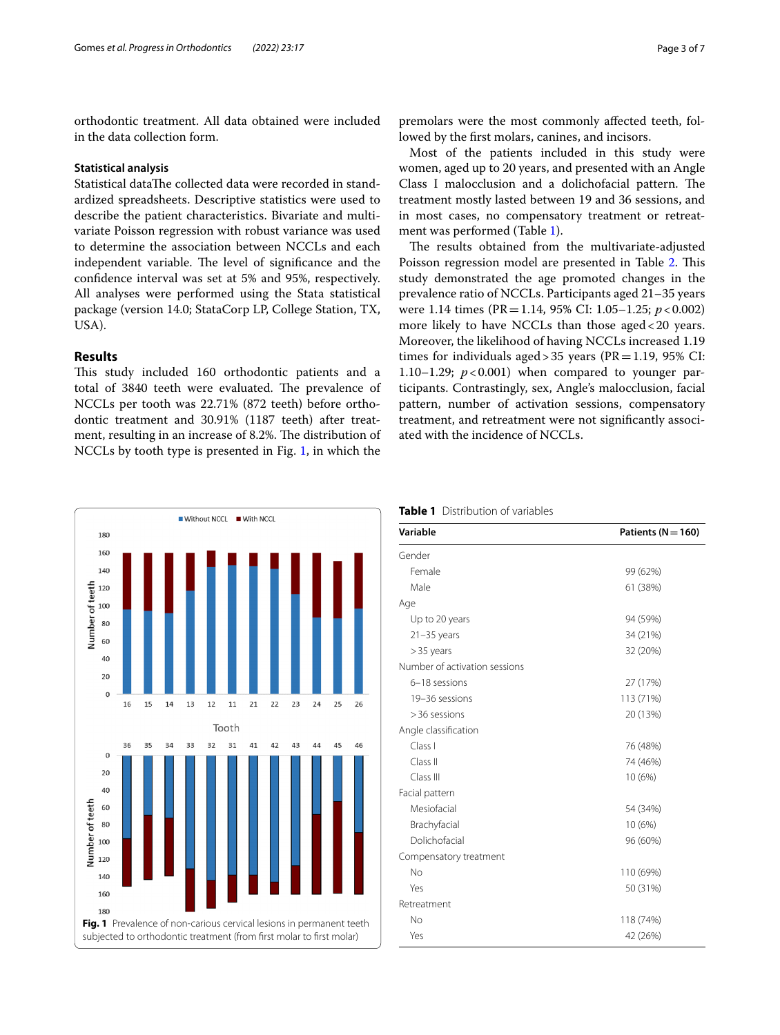orthodontic treatment. All data obtained were included in the data collection form.

## **Statistical analysis**

Statistical dataThe collected data were recorded in standardized spreadsheets. Descriptive statistics were used to describe the patient characteristics. Bivariate and multivariate Poisson regression with robust variance was used to determine the association between NCCLs and each independent variable. The level of significance and the confdence interval was set at 5% and 95%, respectively. All analyses were performed using the Stata statistical package (version 14.0; StataCorp LP, College Station, TX, USA).

# **Results**

This study included 160 orthodontic patients and a total of 3840 teeth were evaluated. The prevalence of NCCLs per tooth was 22.71% (872 teeth) before orthodontic treatment and 30.91% (1187 teeth) after treatment, resulting in an increase of 8.2%. The distribution of NCCLs by tooth type is presented in Fig. [1](#page-2-0), in which the

<span id="page-2-0"></span>Without NCCL With NCCL 180 160 140 Number of teeth<br>
8<br>
8<br>
8<br>
8  $40$  $20$  $\circ$ 15 13 12 11 21 22 16 14 23 24 25 Tooth  $36$ 35  $34$ 33 32 31 41 42 43 44 45 46  $\mathbf{0}$  $20$ 40 Number of teeth 60 80 100 120 140 160 180 **Fig. 1** Prevalence of non-carious cervical lesions in permanent teeth subjected to orthodontic treatment (from first molar to first molar)

premolars were the most commonly afected teeth, followed by the frst molars, canines, and incisors.

Most of the patients included in this study were women, aged up to 20 years, and presented with an Angle Class I malocclusion and a dolichofacial pattern. The treatment mostly lasted between 19 and 36 sessions, and in most cases, no compensatory treatment or retreatment was performed (Table [1\)](#page-2-1).

The results obtained from the multivariate-adjusted Poisson regression model are presented in Table [2.](#page-3-0) This study demonstrated the age promoted changes in the prevalence ratio of NCCLs. Participants aged 21–35 years were 1.14 times (PR=1.14, 95% CI: 1.05–1.25; *p*<0.002) more likely to have NCCLs than those aged<20 years. Moreover, the likelihood of having NCCLs increased 1.19 times for individuals aged > 35 years ( $PR = 1.19$ , 95% CI: 1.10–1.29;  $p < 0.001$ ) when compared to younger participants. Contrastingly, sex, Angle's malocclusion, facial pattern, number of activation sessions, compensatory treatment, and retreatment were not signifcantly associated with the incidence of NCCLs.



<span id="page-2-1"></span>

| <b>Table 1</b> Distribution of variables |
|------------------------------------------|
|------------------------------------------|

| Variable                      | Patients ( $N = 160$ ) |  |  |
|-------------------------------|------------------------|--|--|
| Gender                        |                        |  |  |
| Female                        | 99 (62%)               |  |  |
| Male                          | 61 (38%)               |  |  |
| Age                           |                        |  |  |
| Up to 20 years                | 94 (59%)               |  |  |
| $21 - 35$ years               | 34 (21%)               |  |  |
| $>$ 35 years                  | 32 (20%)               |  |  |
| Number of activation sessions |                        |  |  |
| 6-18 sessions                 | 27 (17%)               |  |  |
| 19-36 sessions                | 113 (71%)              |  |  |
| > 36 sessions                 | 20 (13%)               |  |  |
| Angle classification          |                        |  |  |
| Class I                       | 76 (48%)               |  |  |
| Class II                      | 74 (46%)               |  |  |
| Class III                     | 10 (6%)                |  |  |
| Facial pattern                |                        |  |  |
| Mesiofacial                   | 54 (34%)               |  |  |
| Brachyfacial                  | 10 (6%)                |  |  |
| Dolichofacial                 | 96 (60%)               |  |  |
| Compensatory treatment        |                        |  |  |
| No                            | 110 (69%)              |  |  |
| Yes                           | 50 (31%)               |  |  |
| Retreatment                   |                        |  |  |
| No                            | 118 (74%)              |  |  |
| Yes                           | 42 (26%)               |  |  |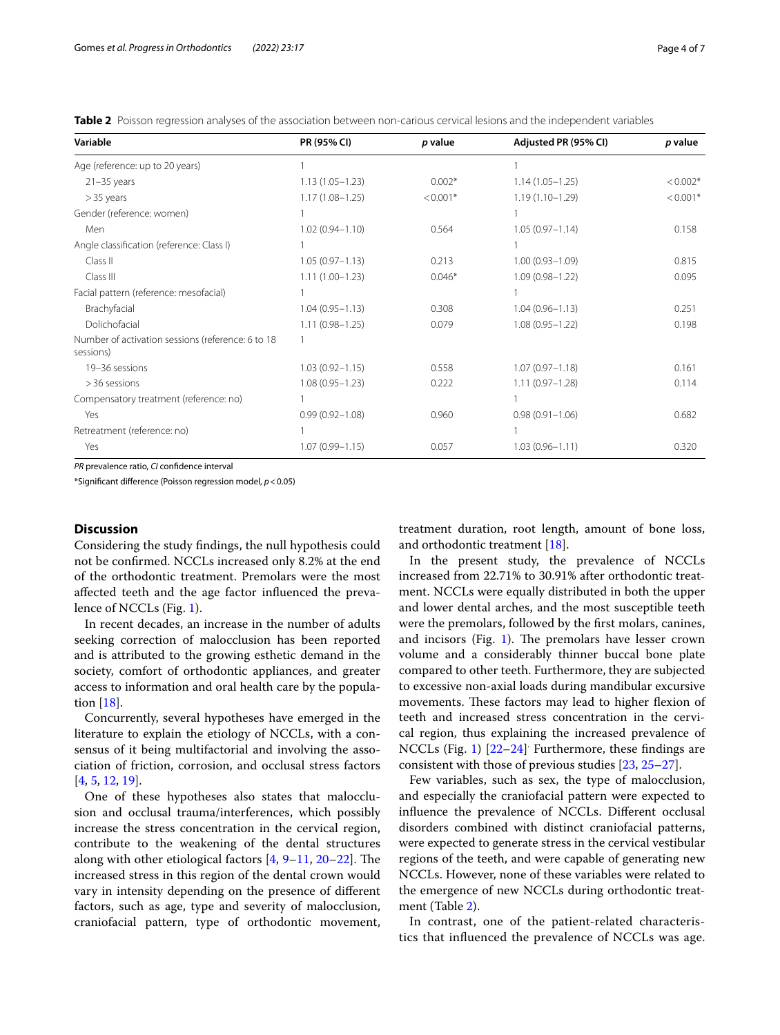<span id="page-3-0"></span>**Table 2** Poisson regression analyses of the association between non-carious cervical lesions and the independent variables

| Variable                                                       | PR (95% CI)         | p value    | Adjusted PR (95% CI) | p value    |
|----------------------------------------------------------------|---------------------|------------|----------------------|------------|
| Age (reference: up to 20 years)                                |                     |            |                      |            |
| $21 - 35$ years                                                | $1.13(1.05 - 1.23)$ | $0.002*$   | $1.14(1.05 - 1.25)$  | $< 0.002*$ |
| $>$ 35 years                                                   | $1.17(1.08 - 1.25)$ | $< 0.001*$ | $1.19(1.10 - 1.29)$  | $< 0.001*$ |
| Gender (reference: women)                                      |                     |            |                      |            |
| Men                                                            | $1.02(0.94 - 1.10)$ | 0.564      | $1.05(0.97 - 1.14)$  | 0.158      |
| Angle classification (reference: Class I)                      |                     |            | 1                    |            |
| Class II                                                       | $1.05(0.97 - 1.13)$ | 0.213      | $1.00(0.93 - 1.09)$  | 0.815      |
| Class III                                                      | $1.11(1.00 - 1.23)$ | $0.046*$   | $1.09(0.98 - 1.22)$  | 0.095      |
| Facial pattern (reference: mesofacial)                         |                     |            |                      |            |
| Brachyfacial                                                   | $1.04(0.95 - 1.13)$ | 0.308      | $1.04(0.96 - 1.13)$  | 0.251      |
| Dolichofacial                                                  | $1.11(0.98 - 1.25)$ | 0.079      | $1.08(0.95 - 1.22)$  | 0.198      |
| Number of activation sessions (reference: 6 to 18<br>sessions) |                     |            |                      |            |
| 19-36 sessions                                                 | $1.03(0.92 - 1.15)$ | 0.558      | $1.07(0.97 - 1.18)$  | 0.161      |
| > 36 sessions                                                  | $1.08(0.95 - 1.23)$ | 0.222      | $1.11(0.97 - 1.28)$  | 0.114      |
| Compensatory treatment (reference: no)                         |                     |            |                      |            |
| Yes                                                            | $0.99(0.92 - 1.08)$ | 0.960      | $0.98(0.91 - 1.06)$  | 0.682      |
| Retreatment (reference: no)                                    |                     |            |                      |            |
| Yes                                                            | $1.07(0.99 - 1.15)$ | 0.057      | $1.03(0.96 - 1.11)$  | 0.320      |

*PR* prevalence ratio, *CI* confdence interval

\*Signifcant diference (Poisson regression model, *p*<0.05)

# **Discussion**

Considering the study fndings, the null hypothesis could not be confrmed. NCCLs increased only 8.2% at the end of the orthodontic treatment. Premolars were the most afected teeth and the age factor infuenced the prevalence of NCCLs (Fig. [1](#page-2-0)).

In recent decades, an increase in the number of adults seeking correction of malocclusion has been reported and is attributed to the growing esthetic demand in the society, comfort of orthodontic appliances, and greater access to information and oral health care by the population [[18\]](#page-5-15).

Concurrently, several hypotheses have emerged in the literature to explain the etiology of NCCLs, with a consensus of it being multifactorial and involving the association of friction, corrosion, and occlusal stress factors [[4,](#page-5-3) [5](#page-5-4), [12,](#page-5-9) [19](#page-5-16)].

One of these hypotheses also states that malocclusion and occlusal trauma/interferences, which possibly increase the stress concentration in the cervical region, contribute to the weakening of the dental structures along with other etiological factors  $[4, 9-11, 20-22]$  $[4, 9-11, 20-22]$  $[4, 9-11, 20-22]$  $[4, 9-11, 20-22]$  $[4, 9-11, 20-22]$  $[4, 9-11, 20-22]$ . The increased stress in this region of the dental crown would vary in intensity depending on the presence of diferent factors, such as age, type and severity of malocclusion, craniofacial pattern, type of orthodontic movement, treatment duration, root length, amount of bone loss, and orthodontic treatment [\[18](#page-5-15)].

In the present study, the prevalence of NCCLs increased from 22.71% to 30.91% after orthodontic treatment. NCCLs were equally distributed in both the upper and lower dental arches, and the most susceptible teeth were the premolars, followed by the frst molars, canines, and incisors (Fig.  $1$ ). The premolars have lesser crown volume and a considerably thinner buccal bone plate compared to other teeth. Furthermore, they are subjected to excessive non-axial loads during mandibular excursive movements. These factors may lead to higher flexion of teeth and increased stress concentration in the cervical region, thus explaining the increased prevalence of NCCLs (Fig. [1\)](#page-2-0) [\[22](#page-5-18)–[24\]](#page-5-19) . Furthermore, these fndings are consistent with those of previous studies [\[23](#page-5-20), [25–](#page-5-21)[27](#page-5-22)].

Few variables, such as sex, the type of malocclusion, and especially the craniofacial pattern were expected to infuence the prevalence of NCCLs. Diferent occlusal disorders combined with distinct craniofacial patterns, were expected to generate stress in the cervical vestibular regions of the teeth, and were capable of generating new NCCLs. However, none of these variables were related to the emergence of new NCCLs during orthodontic treatment (Table [2](#page-3-0)).

In contrast, one of the patient-related characteristics that infuenced the prevalence of NCCLs was age.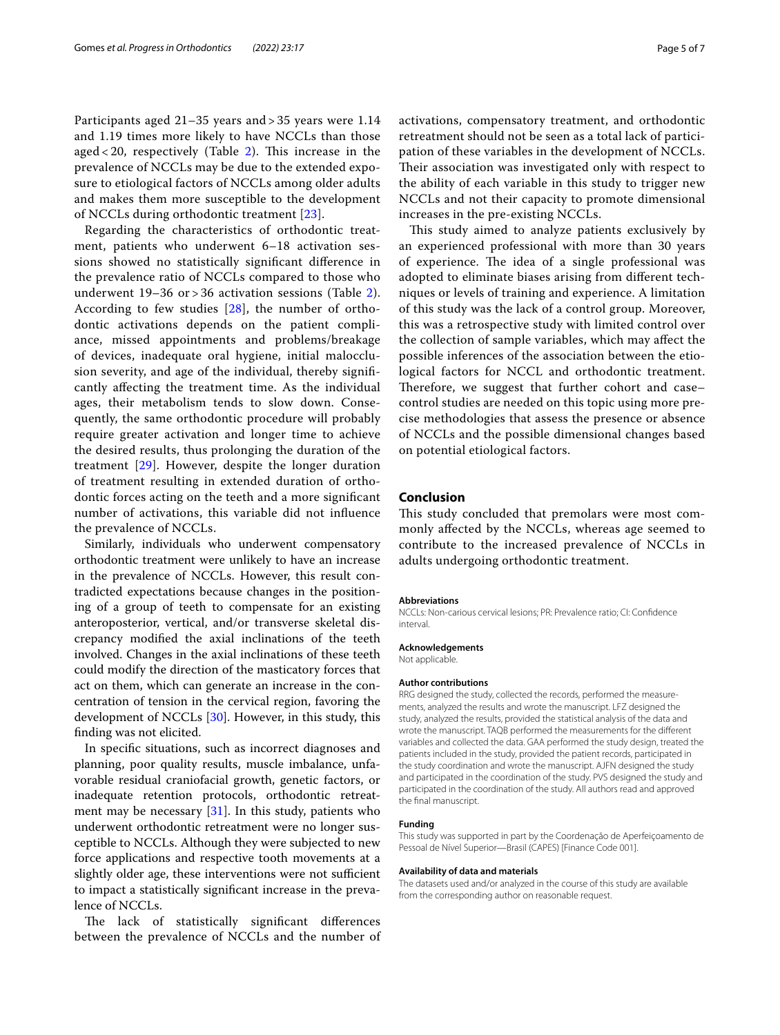Participants aged 21–35 years and > 35 years were 1.14 and 1.19 times more likely to have NCCLs than those aged  $<$  [2](#page-3-0)0, respectively (Table 2). This increase in the prevalence of NCCLs may be due to the extended exposure to etiological factors of NCCLs among older adults and makes them more susceptible to the development of NCCLs during orthodontic treatment [\[23](#page-5-20)].

Regarding the characteristics of orthodontic treatment, patients who underwent 6–18 activation sessions showed no statistically signifcant diference in the prevalence ratio of NCCLs compared to those who underwent 19–36 or > 36 activation sessions (Table [2\)](#page-3-0). According to few studies [[28\]](#page-5-23), the number of orthodontic activations depends on the patient compliance, missed appointments and problems/breakage of devices, inadequate oral hygiene, initial malocclusion severity, and age of the individual, thereby signifcantly afecting the treatment time. As the individual ages, their metabolism tends to slow down. Consequently, the same orthodontic procedure will probably require greater activation and longer time to achieve the desired results, thus prolonging the duration of the treatment [\[29](#page-5-24)]. However, despite the longer duration of treatment resulting in extended duration of orthodontic forces acting on the teeth and a more signifcant number of activations, this variable did not infuence the prevalence of NCCLs.

Similarly, individuals who underwent compensatory orthodontic treatment were unlikely to have an increase in the prevalence of NCCLs. However, this result contradicted expectations because changes in the positioning of a group of teeth to compensate for an existing anteroposterior, vertical, and/or transverse skeletal discrepancy modifed the axial inclinations of the teeth involved. Changes in the axial inclinations of these teeth could modify the direction of the masticatory forces that act on them, which can generate an increase in the concentration of tension in the cervical region, favoring the development of NCCLs [[30](#page-5-25)]. However, in this study, this fnding was not elicited.

In specifc situations, such as incorrect diagnoses and planning, poor quality results, muscle imbalance, unfavorable residual craniofacial growth, genetic factors, or inadequate retention protocols, orthodontic retreatment may be necessary [[31\]](#page-5-26). In this study, patients who underwent orthodontic retreatment were no longer susceptible to NCCLs. Although they were subjected to new force applications and respective tooth movements at a slightly older age, these interventions were not sufficient to impact a statistically signifcant increase in the prevalence of NCCLs.

The lack of statistically significant differences between the prevalence of NCCLs and the number of

pation of these variables in the development of NCCLs. Their association was investigated only with respect to the ability of each variable in this study to trigger new NCCLs and not their capacity to promote dimensional increases in the pre-existing NCCLs.

This study aimed to analyze patients exclusively by an experienced professional with more than 30 years of experience. The idea of a single professional was adopted to eliminate biases arising from diferent techniques or levels of training and experience. A limitation of this study was the lack of a control group. Moreover, this was a retrospective study with limited control over the collection of sample variables, which may afect the possible inferences of the association between the etiological factors for NCCL and orthodontic treatment. Therefore, we suggest that further cohort and casecontrol studies are needed on this topic using more precise methodologies that assess the presence or absence of NCCLs and the possible dimensional changes based on potential etiological factors.

# **Conclusion**

This study concluded that premolars were most commonly afected by the NCCLs, whereas age seemed to contribute to the increased prevalence of NCCLs in adults undergoing orthodontic treatment.

#### **Abbreviations**

NCCLs: Non-carious cervical lesions; PR: Prevalence ratio; CI: Confdence interval.

#### **Acknowledgements** Not applicable.

**Author contributions**

RRG designed the study, collected the records, performed the measurements, analyzed the results and wrote the manuscript. LFZ designed the study, analyzed the results, provided the statistical analysis of the data and wrote the manuscript. TAQB performed the measurements for the diferent variables and collected the data. GAA performed the study design, treated the patients included in the study, provided the patient records, participated in the study coordination and wrote the manuscript. AJFN designed the study and participated in the coordination of the study. PVS designed the study and participated in the coordination of the study. All authors read and approved the fnal manuscript.

#### **Funding**

This study was supported in part by the Coordenação de Aperfeiçoamento de Pessoal de Nível Superior—Brasil (CAPES) [Finance Code 001].

#### **Availability of data and materials**

The datasets used and/or analyzed in the course of this study are available from the corresponding author on reasonable request.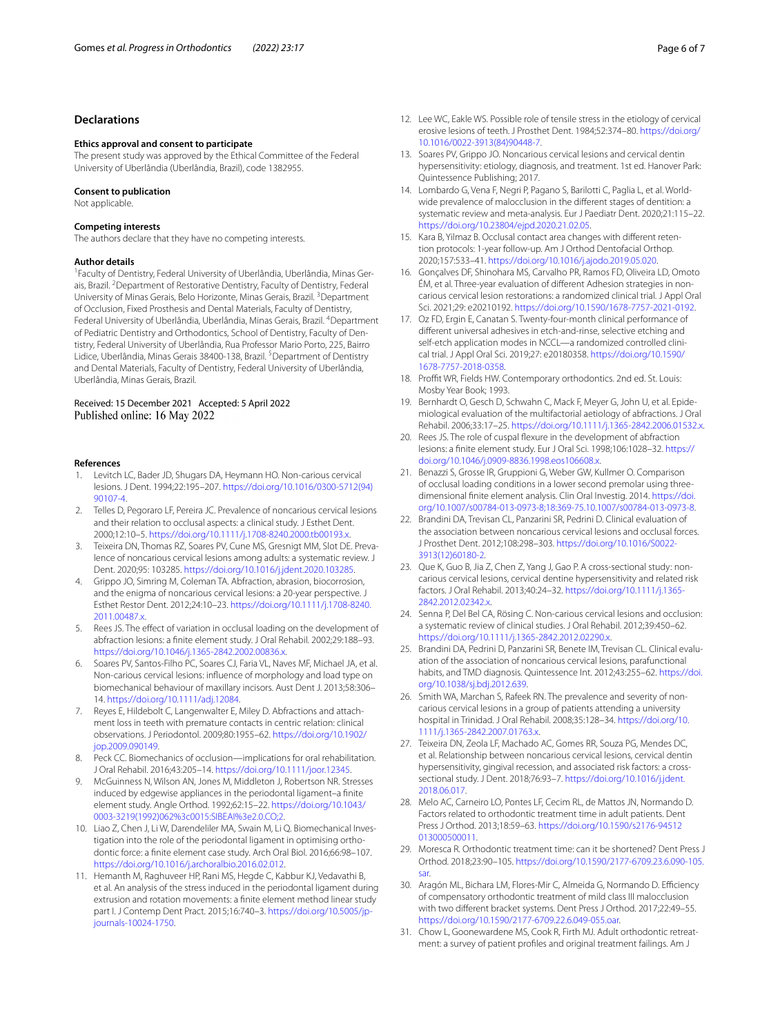## **Declarations**

#### **Ethics approval and consent to participate**

The present study was approved by the Ethical Committee of the Federal University of Uberlândia (Uberlândia, Brazil), code 1382955.

#### **Consent to publication**

Not applicable.

#### **Competing interests**

The authors declare that they have no competing interests.

## **Author details**

<sup>1</sup> Faculty of Dentistry, Federal University of Uberlândia, Uberlândia, Minas Gerais, Brazil.<sup>2</sup> Department of Restorative Dentistry, Faculty of Dentistry, Federal University of Minas Gerais, Belo Horizonte, Minas Gerais, Brazil. <sup>3</sup>Department of Occlusion, Fixed Prosthesis and Dental Materials, Faculty of Dentistry, Federal University of Uberlândia, Uberlândia, Minas Gerais, Brazil. <sup>4</sup>Department of Pediatric Dentistry and Orthodontics, School of Dentistry, Faculty of Dentistry, Federal University of Uberlândia, Rua Professor Mario Porto, 225, Bairro Lidice, Uberlândia, Minas Gerais 38400-138, Brazil. <sup>5</sup>Department of Dentistry and Dental Materials, Faculty of Dentistry, Federal University of Uberlândia, Uberlândia, Minas Gerais, Brazil.

#### Received: 15 December 2021 Accepted: 5 April 2022 Published online: 16 May 2022

#### **References**

- <span id="page-5-0"></span>Levitch LC, Bader JD, Shugars DA, Heymann HO. Non-carious cervical lesions. J Dent. 1994;22:195–207. [https://doi.org/10.1016/0300-5712\(94\)](https://doi.org/10.1016/0300-5712(94)90107-4) [90107-4.](https://doi.org/10.1016/0300-5712(94)90107-4)
- <span id="page-5-1"></span>2. Telles D, Pegoraro LF, Pereira JC. Prevalence of noncarious cervical lesions and their relation to occlusal aspects: a clinical study. J Esthet Dent. 2000;12:10–5. [https://doi.org/10.1111/j.1708-8240.2000.tb00193.x.](https://doi.org/10.1111/j.1708-8240.2000.tb00193.x)
- <span id="page-5-2"></span>3. Teixeira DN, Thomas RZ, Soares PV, Cune MS, Gresnigt MM, Slot DE. Prevalence of noncarious cervical lesions among adults: a systematic review. J Dent. 2020;95: 103285. <https://doi.org/10.1016/j.jdent.2020.103285>.
- <span id="page-5-3"></span>4. Grippo JO, Simring M, Coleman TA. Abfraction, abrasion, biocorrosion, and the enigma of noncarious cervical lesions: a 20-year perspective. J Esthet Restor Dent. 2012;24:10–23. [https://doi.org/10.1111/j.1708-8240.](https://doi.org/10.1111/j.1708-8240.2011.00487.x) [2011.00487.x](https://doi.org/10.1111/j.1708-8240.2011.00487.x).
- <span id="page-5-4"></span>5. Rees JS. The efect of variation in occlusal loading on the development of abfraction lesions: a fnite element study. J Oral Rehabil. 2002;29:188–93. [https://doi.org/10.1046/j.1365-2842.2002.00836.x.](https://doi.org/10.1046/j.1365-2842.2002.00836.x)
- 6. Soares PV, Santos-Filho PC, Soares CJ, Faria VL, Naves MF, Michael JA, et al. Non-carious cervical lesions: infuence of morphology and load type on biomechanical behaviour of maxillary incisors. Aust Dent J. 2013;58:306– 14. <https://doi.org/10.1111/adj.12084>.
- <span id="page-5-5"></span>7. Reyes E, Hildebolt C, Langenwalter E, Miley D. Abfractions and attachment loss in teeth with premature contacts in centric relation: clinical observations. J Periodontol. 2009;80:1955–62. [https://doi.org/10.1902/](https://doi.org/10.1902/jop.2009.090149) [jop.2009.090149.](https://doi.org/10.1902/jop.2009.090149)
- <span id="page-5-6"></span>8. Peck CC. Biomechanics of occlusion—implications for oral rehabilitation. J Oral Rehabil. 2016;43:205–14.<https://doi.org/10.1111/joor.12345>.
- <span id="page-5-7"></span>9. McGuinness N, Wilson AN, Jones M, Middleton J, Robertson NR. Stresses induced by edgewise appliances in the periodontal ligament–a fnite element study. Angle Orthod. 1992;62:15–22. [https://doi.org/10.1043/](https://doi.org/10.1043/0003-3219(1992)062%3c0015:SIBEAI%3e2.0.CO;2) [0003-3219\(1992\)062%3c0015:SIBEAI%3e2.0.CO;2](https://doi.org/10.1043/0003-3219(1992)062%3c0015:SIBEAI%3e2.0.CO;2).
- 10. Liao Z, Chen J, Li W, Darendeliler MA, Swain M, Li Q. Biomechanical Investigation into the role of the periodontal ligament in optimising orthodontic force: a fnite element case study. Arch Oral Biol. 2016;66:98–107. [https://doi.org/10.1016/j.archoralbio.2016.02.012.](https://doi.org/10.1016/j.archoralbio.2016.02.012)
- <span id="page-5-8"></span>11. Hemanth M, Raghuveer HP, Rani MS, Hegde C, Kabbur KJ, Vedavathi B, et al. An analysis of the stress induced in the periodontal ligament during extrusion and rotation movements: a fnite element method linear study part I. J Contemp Dent Pract. 2015;16:740–3. [https://doi.org/10.5005/jp](https://doi.org/10.5005/jp-journals-10024-1750)[journals-10024-1750.](https://doi.org/10.5005/jp-journals-10024-1750)
- <span id="page-5-9"></span>12. Lee WC, Eakle WS. Possible role of tensile stress in the etiology of cervical erosive lesions of teeth. J Prosthet Dent. 1984;52:374–80. [https://doi.org/](https://doi.org/10.1016/0022-3913(84)90448-7) [10.1016/0022-3913\(84\)90448-7.](https://doi.org/10.1016/0022-3913(84)90448-7)
- <span id="page-5-10"></span>13. Soares PV, Grippo JO. Noncarious cervical lesions and cervical dentin hypersensitivity: etiology, diagnosis, and treatment. 1st ed. Hanover Park: Quintessence Publishing; 2017.
- <span id="page-5-11"></span>14. Lombardo G, Vena F, Negri P, Pagano S, Barilotti C, Paglia L, et al. Worldwide prevalence of malocclusion in the diferent stages of dentition: a systematic review and meta-analysis. Eur J Paediatr Dent. 2020;21:115–22. <https://doi.org/10.23804/ejpd.2020.21.02.05>.
- <span id="page-5-12"></span>15. Kara B, Yilmaz B. Occlusal contact area changes with diferent retention protocols: 1-year follow-up. Am J Orthod Dentofacial Orthop. 2020;157:533–41. <https://doi.org/10.1016/j.ajodo.2019.05.020>.
- <span id="page-5-13"></span>16. Gonçalves DF, Shinohara MS, Carvalho PR, Ramos FD, Oliveira LD, Omoto ÉM, et al. Three-year evaluation of diferent Adhesion strategies in noncarious cervical lesion restorations: a randomized clinical trial. J Appl Oral Sci. 2021;29: e20210192.<https://doi.org/10.1590/1678-7757-2021-0192>.
- <span id="page-5-14"></span>17. Oz FD, Ergin E, Canatan S. Twenty-four-month clinical performance of diferent universal adhesives in etch-and-rinse, selective etching and self-etch application modes in NCCL—a randomized controlled clinical trial. J Appl Oral Sci. 2019;27: e20180358. [https://doi.org/10.1590/](https://doi.org/10.1590/1678-7757-2018-0358) [1678-7757-2018-0358.](https://doi.org/10.1590/1678-7757-2018-0358)
- <span id="page-5-15"></span>18. Proffit WR, Fields HW. Contemporary orthodontics. 2nd ed. St. Louis: Mosby Year Book; 1993.
- <span id="page-5-16"></span>19. Bernhardt O, Gesch D, Schwahn C, Mack F, Meyer G, John U, et al. Epidemiological evaluation of the multifactorial aetiology of abfractions. J Oral Rehabil. 2006;33:17–25. [https://doi.org/10.1111/j.1365-2842.2006.01532.x.](https://doi.org/10.1111/j.1365-2842.2006.01532.x)
- <span id="page-5-17"></span>20. Rees JS. The role of cuspal fexure in the development of abfraction lesions: a fnite element study. Eur J Oral Sci. 1998;106:1028–32. [https://](https://doi.org/10.1046/j.0909-8836.1998.eos106608.x) [doi.org/10.1046/j.0909-8836.1998.eos106608.x.](https://doi.org/10.1046/j.0909-8836.1998.eos106608.x)
- 21. Benazzi S, Grosse IR, Gruppioni G, Weber GW, Kullmer O. Comparison of occlusal loading conditions in a lower second premolar using threedimensional fnite element analysis. Clin Oral Investig. 2014. [https://doi.](https://doi.org/10.1007/s00784-013-0973-8;18:369-75.10.1007/s00784-013-0973-8) [org/10.1007/s00784-013-0973-8;18:369-75.10.1007/s00784-013-0973-8](https://doi.org/10.1007/s00784-013-0973-8;18:369-75.10.1007/s00784-013-0973-8).
- <span id="page-5-18"></span>22. Brandini DA, Trevisan CL, Panzarini SR, Pedrini D. Clinical evaluation of the association between noncarious cervical lesions and occlusal forces. J Prosthet Dent. 2012;108:298–303. [https://doi.org/10.1016/S0022-](https://doi.org/10.1016/S0022-3913(12)60180-2) [3913\(12\)60180-2.](https://doi.org/10.1016/S0022-3913(12)60180-2)
- <span id="page-5-20"></span>23. Que K, Guo B, Jia Z, Chen Z, Yang J, Gao P. A cross-sectional study: noncarious cervical lesions, cervical dentine hypersensitivity and related risk factors. J Oral Rehabil. 2013;40:24–32. [https://doi.org/10.1111/j.1365-](https://doi.org/10.1111/j.1365-2842.2012.02342.x) [2842.2012.02342.x](https://doi.org/10.1111/j.1365-2842.2012.02342.x).
- <span id="page-5-19"></span>24. Senna P, Del Bel CA, Rösing C. Non-carious cervical lesions and occlusion: a systematic review of clinical studies. J Oral Rehabil. 2012;39:450–62. [https://doi.org/10.1111/j.1365-2842.2012.02290.x.](https://doi.org/10.1111/j.1365-2842.2012.02290.x)
- <span id="page-5-21"></span>25. Brandini DA, Pedrini D, Panzarini SR, Benete IM, Trevisan CL. Clinical evaluation of the association of noncarious cervical lesions, parafunctional habits, and TMD diagnosis. Quintessence Int. 2012;43:255–62. [https://doi.](https://doi.org/10.1038/sj.bdj.2012.639) [org/10.1038/sj.bdj.2012.639](https://doi.org/10.1038/sj.bdj.2012.639).
- 26. Smith WA, Marchan S, Rafeek RN. The prevalence and severity of noncarious cervical lesions in a group of patients attending a university hospital in Trinidad. J Oral Rehabil. 2008;35:128–34. [https://doi.org/10.](https://doi.org/10.1111/j.1365-2842.2007.01763.x) [1111/j.1365-2842.2007.01763.x](https://doi.org/10.1111/j.1365-2842.2007.01763.x).
- <span id="page-5-22"></span>27. Teixeira DN, Zeola LF, Machado AC, Gomes RR, Souza PG, Mendes DC, et al. Relationship between noncarious cervical lesions, cervical dentin hypersensitivity, gingival recession, and associated risk factors: a crosssectional study. J Dent. 2018;76:93–7. [https://doi.org/10.1016/j.jdent.](https://doi.org/10.1016/j.jdent.2018.06.017) [2018.06.017](https://doi.org/10.1016/j.jdent.2018.06.017).
- <span id="page-5-23"></span>28. Melo AC, Carneiro LO, Pontes LF, Cecim RL, de Mattos JN, Normando D. Factors related to orthodontic treatment time in adult patients. Dent Press J Orthod. 2013;18:59–63. [https://doi.org/10.1590/s2176-94512](https://doi.org/10.1590/s2176-94512013000500011) [013000500011.](https://doi.org/10.1590/s2176-94512013000500011)
- <span id="page-5-24"></span>29. Moresca R. Orthodontic treatment time: can it be shortened? Dent Press J Orthod. 2018;23:90–105. [https://doi.org/10.1590/2177-6709.23.6.090-105.](https://doi.org/10.1590/2177-6709.23.6.090-105.sar) [sar.](https://doi.org/10.1590/2177-6709.23.6.090-105.sar)
- <span id="page-5-25"></span>30. Aragón ML, Bichara LM, Flores-Mir C, Almeida G, Normando D. Efficiency of compensatory orthodontic treatment of mild class III malocclusion with two diferent bracket systems. Dent Press J Orthod. 2017;22:49–55. [https://doi.org/10.1590/2177-6709.22.6.049-055.oar.](https://doi.org/10.1590/2177-6709.22.6.049-055.oar)
- <span id="page-5-26"></span>31. Chow L, Goonewardene MS, Cook R, Firth MJ. Adult orthodontic retreatment: a survey of patient profles and original treatment failings. Am J